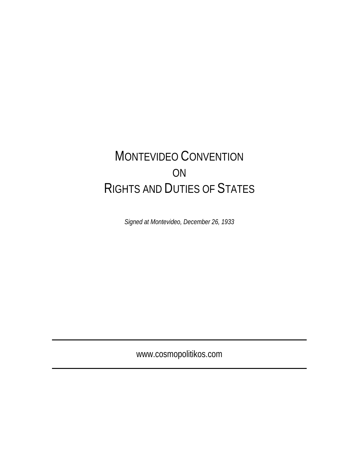# MONTEVIDEO CONVENTION ON RIGHTS AND DUTIES OF STATES

*Signed at Montevideo, December 26, 1933* 

www.cosmopolitikos.com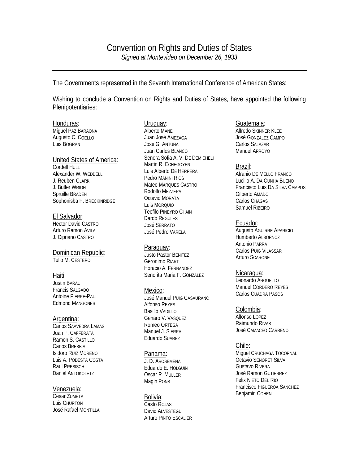The Governments represented in the Seventh International Conference of American States:

Wishing to conclude a Convention on Rights and Duties of States, have appointed the following Plenipotentiaries:

#### Honduras:

Miguel PAZ BARAONA Augusto C. COELLO Luis BOGRAN

#### United States of America: **Cordell HULL** Alexander W. WEDDELL J. Reuben CLARK J. Butler WRIGHT Spruille BRADEN Sophonisba P. BRECKINRIDGE

El Salvador: Hector David CASTRO Arturo Ramon AVILA J. Cipriano CASTRO

# Dominican Republic:

Tulio M. CESTERO

#### Haiti:

Justin BARAU Francis SALGADO Antoine PIERRE-PAUL Edmond MANGONES

#### Argentina:

Carlos SAAVEDRA LAMAS Juan F. CAFFERATA Ramon S. CASTILLO Carlos BREBBIA Isidoro RUIZ MORENO Luis A. PODESTA COSTA Raul PREBISCH Daniel ANTOKOLETZ

## Venezuela:

Cesar ZUMETA Luis CHURTON José Rafael MONTILLA

## Uruguay:

Alberto MANE Juan José AMEZAGA José G. ANTUNA Juan Carlos BLANCO Senora Sofia A. V. DE DEMICHELI Martin R. ECHEGOYEN Luis Alberto DE HERRERA Pedro MANINI RIOS Mateo MARQUES CASTRO Rodolfo MEZZERA Octavio MORATA Luis MORQUIO Teofilo PINEYRO CHAIN Dardo REGULES José SERRATO José Pedro VARELA

#### Paraguay:

Justo Pastor BENITEZ Geronimo RIART Horacio A. FERNANDEZ Senorita Maria F. GONZALEZ

#### Mexico:

José Manuel PUIG CASAURANC Alfonso REYES Basilio VADILLO Genaro V. VASQUEZ Romeo ORTEGA Manuel J. SIERRA Eduardo SUAREZ

#### Panama:

J. D. AROSEMENA Eduardo E. HOLGUIN Oscar R. MULLER Magin PONS

#### Bolivia:

Casto ROJAS David ALVESTEGUI Arturo PINTO ESCALIER

#### Guatemala:

Alfredo SKINNER KLEE José GONZALEZ CAMPO Carlos SALAZAR Manuel ARROYO

## Brazil:

Afranio DE MELLO FRANCO Lucillo A. DA CUNHA BUENO Francisco Luis DA SILVA CAMPOS Gilberto AMADO Carlos CHAGAS Samuel RIBEIRO

#### Ecuador:

Augusto AGUIRRE APARICIO Humberto ALBORNOZ Antonio PARRA Carlos PUIG VILASSAR Arturo SCARONE

## Nicaragua:

Leonardo ARGUELLO Manuel CORDERO REYES Carlos CUADRA PASOS

#### Colombia:

Alfonso LOPEZ Raimundo RIVAS José CAMACEO CARRENO

## Chile:

Miguel CRUCHAGA TOCORNAL Octavio SENORET SILVA Gustavo RIVERA José Ramon GUTIERREZ Felix NIETO DEL RIO Francisco FIGUEROA SANCHEZ Benjamin COHEN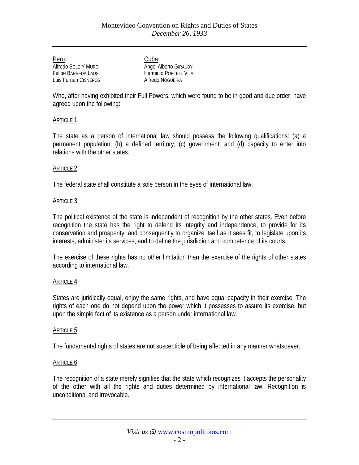Peru: Alfredo SOLE Y MURO Felipe BARREDA LAOS Luis Fernan CISNEROS

Cuba: Angel Alberto GIRAUDY Herminio PORTELL VILA Alfredo NOGUEIRA

Who, after having exhibited their Full Powers, which were found to be in good and due order, have agreed upon the following:

## ARTICLE 1

The state as a person of international law should possess the following qualifications: (a) a permanent population; (b) a defined territory; (c) government; and (d) capacity to enter into relations with the other states.

## ARTICLE 2

The federal state shall constitute a sole person in the eyes of international law.

## ARTICLE 3

The political existence of the state is independent of recognition by the other states. Even before recognition the state has the right to defend its integrity and independence, to provide for its conservation and prosperity, and consequently to organize itself as it sees fit, to legislate upon its interests, administer its services, and to define the jurisdiction and competence of its courts.

The exercise of these rights has no other limitation than the exercise of the rights of other states according to international law.

## ARTICLE 4

States are juridically equal, enjoy the same rights, and have equal capacity in their exercise. The rights of each one do not depend upon the power which it possesses to assure its exercise, but upon the simple fact of its existence as a person under international law.

## ARTICLE 5

The fundamental rights of states are not susceptible of being affected in any manner whatsoever.

## ARTICLE 6

The recognition of a state merely signifies that the state which recognizes it accepts the personality of the other with all the rights and duties determined by international law. Recognition is unconditional and irrevocable.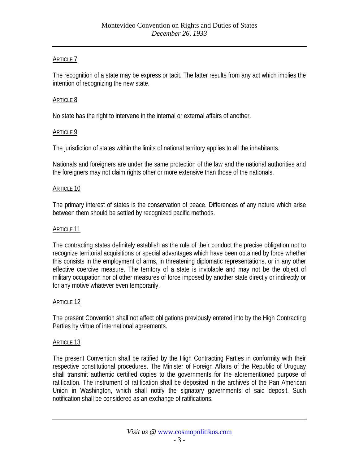## ARTICLE 7

The recognition of a state may be express or tacit. The latter results from any act which implies the intention of recognizing the new state.

## ARTICLE 8

No state has the right to intervene in the internal or external affairs of another.

## **ARTICLE 9**

The jurisdiction of states within the limits of national territory applies to all the inhabitants.

Nationals and foreigners are under the same protection of the law and the national authorities and the foreigners may not claim rights other or more extensive than those of the nationals.

## ARTICLE 10

The primary interest of states is the conservation of peace. Differences of any nature which arise between them should be settled by recognized pacific methods.

## ARTICLE 11

The contracting states definitely establish as the rule of their conduct the precise obligation not to recognize territorial acquisitions or special advantages which have been obtained by force whether this consists in the employment of arms, in threatening diplomatic representations, or in any other effective coercive measure. The territory of a state is inviolable and may not be the object of military occupation nor of other measures of force imposed by another state directly or indirectly or for any motive whatever even temporarily.

## ARTICLE 12

The present Convention shall not affect obligations previously entered into by the High Contracting Parties by virtue of international agreements.

## ARTICLE 13

The present Convention shall be ratified by the High Contracting Parties in conformity with their respective constitutional procedures. The Minister of Foreign Affairs of the Republic of Uruguay shall transmit authentic certified copies to the governments for the aforementioned purpose of ratification. The instrument of ratification shall be deposited in the archives of the Pan American Union in Washington, which shall notify the signatory governments of said deposit. Such notification shall be considered as an exchange of ratifications.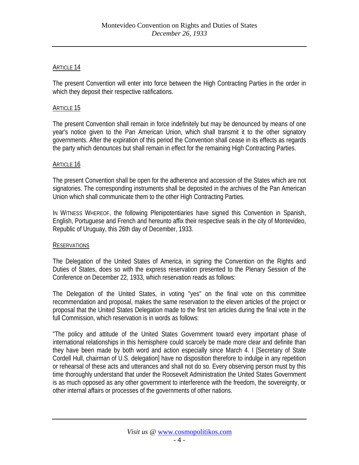## ARTICLE 14

The present Convention will enter into force between the High Contracting Parties in the order in which they deposit their respective ratifications.

## ARTICLE 15

The present Convention shall remain in force indefinitely but may be denounced by means of one year's notice given to the Pan American Union, which shall transmit it to the other signatory governments. After the expiration of this period the Convention shall cease in its effects as regards the party which denounces but shall remain in effect for the remaining High Contracting Parties.

## ARTICLE 16

The present Convention shall be open for the adherence and accession of the States which are not signatories. The corresponding instruments shall be deposited in the archives of the Pan American Union which shall communicate them to the other High Contracting Parties.

IN WITNESS WHEREOF, the following Plenipotentiaries have signed this Convention in Spanish, English, Portuguese and French and hereunto affix their respective seals in the city of Montevideo, Republic of Uruguay, this 26th day of December, 1933.

## **RESERVATIONS**

The Delegation of the United States of America, in signing the Convention on the Rights and Duties of States, does so with the express reservation presented to the Plenary Session of the Conference on December 22, 1933, which reservation reads as follows:

The Delegation of the United States, in voting "yes" on the final vote on this committee recommendation and proposal, makes the same reservation to the eleven articles of the project or proposal that the United States Delegation made to the first ten articles during the final vote in the full Commission, which reservation is in words as follows:

"The policy and attitude of the United States Government toward every important phase of international relationships in this hemisphere could scarcely be made more clear and definite than they have been made by both word and action especially since March 4. I [Secretary of State Cordell Hull, chairman of U.S. delegation] have no disposition therefore to indulge in any repetition or rehearsal of these acts and utterances and shall not do so. Every observing person must by this time thoroughly understand that under the Roosevelt Administration the United States Government is as much opposed as any other government to interference with the freedom, the sovereignty, or other internal affairs or processes of the governments of other nations.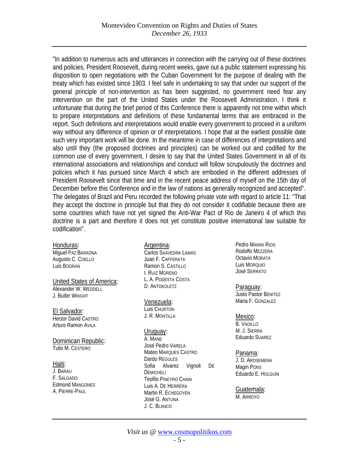"In addition to numerous acts and utterances in connection with the carrying out of these doctrines and policies, President Roosevelt, during recent weeks, gave out a public statement expressing his disposition to open negotiations with the Cuban Government for the purpose of dealing with the treaty which has existed since 1903. I feel safe in undertaking to say that under our support of the general principle of non-intervention as has been suggested, no government need fear any intervention on the part of the United States under the Roosevelt Administration. I think it unfortunate that during the brief period of this Conference there is apparently not time within which to prepare interpretations and definitions of these fundamental terms that are embraced in the report. Such definitions and interpretations would enable every government to proceed in a uniform way without any difference of opinion or of interpretations. I hope that at the earliest possible date such very important work will be done. In the meantime in case of differences of interpretations and also until they (the proposed doctrines and principles) can be worked out and codified for the common use of every government, I desire to say that the United States Government in all of its international associations and relationships and conduct will follow scrupulously the doctrines and policies which it has pursued since March 4 which are embodied in the different addresses of President Roosevelt since that time and in the recent peace address of myself on the 15th day of December before this Conference and in the law of nations as generally recognized and accepted". The delegates of Brazil and Peru recorded the following private vote with regard to article 11: "That they accept the doctrine in principle but that they do not consider it codifiable because there are some countries which have not yet signed the Anti-War Pact of Rio de Janeiro 4 of which this doctrine is a part and therefore it does not yet constitute positive international law suitable for codification".

#### Honduras:

Miguel PAZ BARAONA Augusto C. COELLO Luis BOGRAN

#### United States of America:

Alexander W. WEDDELL J. Butler WRIGHT

#### El Salvador:

Hector David CASTRO Arturo Ramon AVILA

## Dominican Republic:

Tulio M. CESTERO

#### Haiti:

J. BARAU F. SALGADO Edmond MANGONES A. PIERRE-PAUL

#### Argentina:

Carlos SAAVEDRA LAMAS Juan F. CAFFERATA Ramon S. CASTILLO I. RUIZ MORENO L. A. PODESTA COSTA D. ANTOKOLETZ

#### Venezuela:

Luis CHURTON J. R. MONTILLA

#### Uruguay:

A. MANE José Pedro VARELA Mateo MARQUES CASTRO Dardo REGULES Sofia Alvarez Vignoli DE DEMICHELI Teofilo PINEYRO CHAIN Luis A. DE HERRERA Martin R. ECHEGOYEN José G. ANTUNA J. C. BLANCO

Pedro MANINI RIOS Rodolfo MEZZERA Octavio MORATA Luis MORQUIO José SERRATO

#### Paraguay:

Justo Pastor BENITEZ Maria F. GONZALEZ

#### Mexico:

B. VADILLO M. J. SIERRA Eduardo SUAREZ

#### Panama:

J. D. AROSEMENA Magin PONS Eduardo E. HOLGUIN

Guatemala: M. ARROYO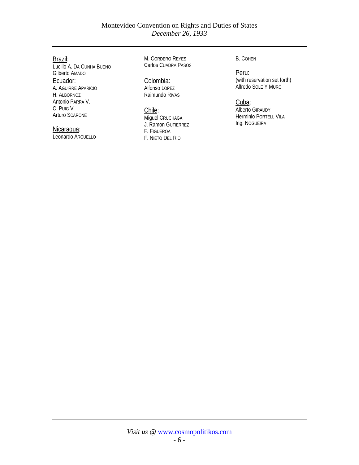## Montevideo Convention on Rights and Duties of States *December 26, 1933*

## Brazil:

Lucillo A. DA CUNHA BUENO Gilberto AMADO Ecuador: A. AGUIRRE APARICIO H. ALBORNOZ Antonio PARRA V. C. PUIG V. Arturo SCARONE

#### Nicaragua: Leonardo ARGUELLO

M. CORDERO REYES Carlos CUADRA PASOS

#### Colombia:

Alfonso LOPEZ Raimundo RIVAS

#### Chile: Miguel CRUCHAGA J. Ramon GUTIERREZ F. FIGUEROA F. NIETO DEL RIO

B. COHEN

#### Peru: (with reservation set forth) Alfredo SOLE Y MURO

## Cuba:

Alberto GIRAUDY Herminio PORTELL VILA Ing. NOGUEIRA